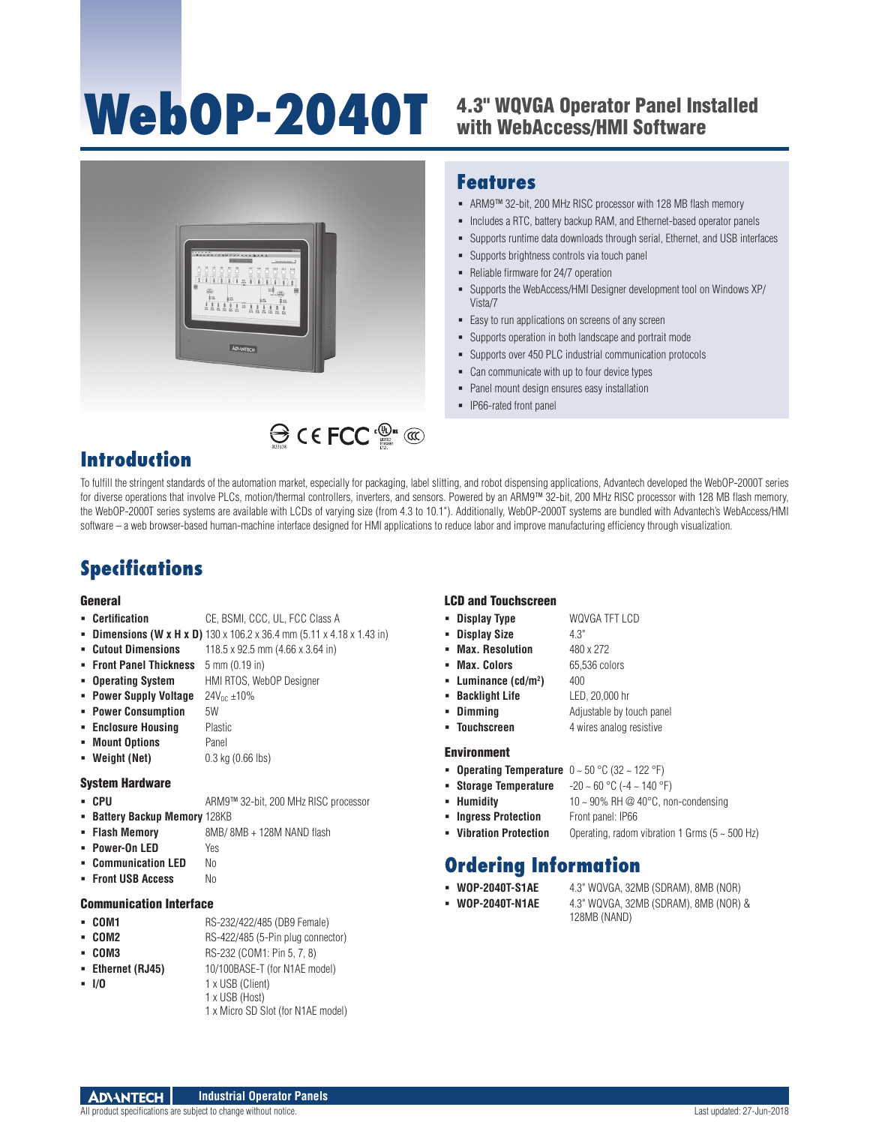# WebOP-2040T 4.3" WQVGA Operator Panel Installed

## with WebAccess/HMI Software



### **Features**

- ARM9™ 32-bit, 200 MHz RISC processor with 128 MB flash memory
- Includes a RTC, battery backup RAM, and Ethernet-based operator panels
- Supports runtime data downloads through serial, Ethernet, and USB interfaces
- Supports brightness controls via touch panel
- Reliable firmware for 24/7 operation
- Supports the WebAccess/HMI Designer development tool on Windows XP/ Vista/7
- Easy to run applications on screens of any screen
- Supports operation in both landscape and portrait mode
- Supports over 450 PLC industrial communication protocols
- Can communicate with up to four device types
- Panel mount design ensures easy installation
- IP66-rated front panel

## **Introduction**

To fulfill the stringent standards of the automation market, especially for packaging, label slitting, and robot dispensing applications, Advantech developed the WebOP-2000T series for diverse operations that involve PLCs, motion/thermal controllers, inverters, and sensors. Powered by an ARM9™ 32-bit, 200 MHz RISC processor with 128 MB flash memory, the WebOP-2000T series systems are available with LCDs of varying size (from 4.3 to 10.1"). Additionally, WebOP-2000T systems are bundled with Advantech's WebAccess/HMI software – a web browser-based human-machine interface designed for HMI applications to reduce labor and improve manufacturing efficiency through visualization.

## **Specifications**

#### General

- 
- **Certification** CE, BSMI, CCC, UL, FCC Class A
- **Dimensions (W x H x D)** 130 x 106.2 x 36.4 mm (5.11 x 4.18 x 1.43 in) **Cutout Dimensions** 118.5 x 92.5 mm (4.66 x 3.64 in)
	-
- **Front Panel Thickness** 5 mm (0.19 in)
- **Operating System** HMI RTOS, WebOP Designer
- **Power Supply Voltage**  $24V_{DC} \pm 10\%$
- **Power Consumption** 5W
- **Enclosure Housing Plastic**
- **Mount Options** Panel
- **Weight (Net)** 0.3 kg (0.66 lbs)

#### System Hardware

- CPU ARM9<sup>™</sup> 32-bit, 200 MHz RISC processor
- **Battery Backup Memory 128KB**
- **Flash Memory** 8MB/ 8MB + 128M NAND flash
- 
- 
- 

#### Communication Interface

- **COM1** RS-232/422/485 (DB9 Female)
- **COM2** RS-422/485 (5-Pin plug connector)
- **COM3** RS-232 (COM1: Pin 5, 7, 8)
- **Ethernet (RJ45)** 10/100BASE-T (for N1AE model)
- **I/O** 1 x USB (Client)
	- 1 x USB (Host)
		- 1 x Micro SD Slot (for N1AE model)

#### LCD and Touchscreen

- **Display Type** WQVGA TFT LCD
- **Display Size** 4.3"
- **Max. Resolution** 480 x 272
- **Max. Colors** 65,536 colors
- **Luminance (cd/m2**
- **Backlight Life** LED, 20,000 hr
- **Dimming** Adjustable by touch panel

**)** 400

**Touchscreen** 4 wires analog resistive

#### Environment

- **Operating Temperature** 0 ~ 50 °C (32 ~ 122 °F)
- **Storage Temperature** -20 ~ 60 °C (-4 ~ 140 °F)
- **Humidity**  $10 \sim 90\% \text{ RH} \textcircled{2} 40\degree \text{C}$ , non-condensing
- **Ingress Protection** Front panel: IP66
- **Vibration Protection** Operating, radom vibration 1 Grms (5 ~ 500 Hz)

## **Ordering Information**

- **WOP-2040T-S1AE** 4.3" WQVGA, 32MB (SDRAM), 8MB (NOR)
- **WOP-2040T-N1AE** 4.3" WQVGA, 32MB (SDRAM), 8MB (NOR) & 128MB (NAND)

- 
- 
- **Power-On LED** Yes
- **E Communication LED** No
- **Front USB Access** No